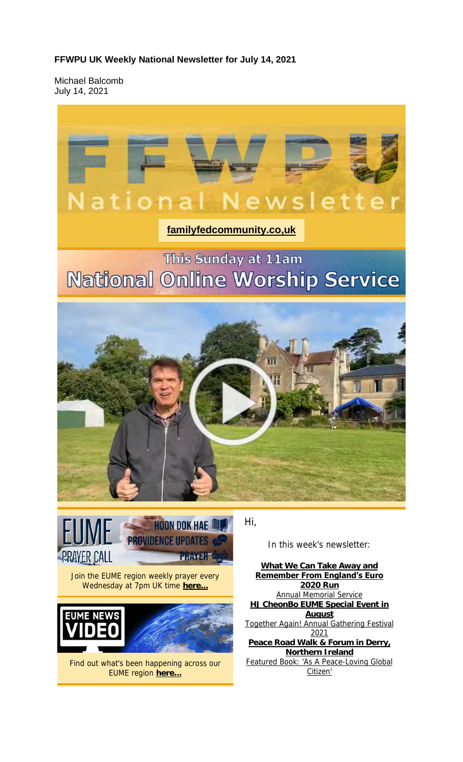#### **FFWPU UK Weekly National Newsletter for July 14, 2021**

Michael Balcomb July 14, 2021



### **familyfedcommunity.co,uk**

# This Sunday at 11am **National Online Worship Service**



Hi,



Join the EUME region weekly prayer every Wednesday at 7pm UK time here.



Find out what's been happening across our EUME region **here...**

In this week's newsletter:

**What We Can Take Away and Remember From England's Euro 2020 Run** Annual Memorial Service **HJ CheonBo EUME Special Event in August** Together Again! Annual Gathering Festival 2021 **Peace Road Walk & Forum in Derry, Northern Ireland** Featured Book: 'As A Peace-Loving Global Citizen'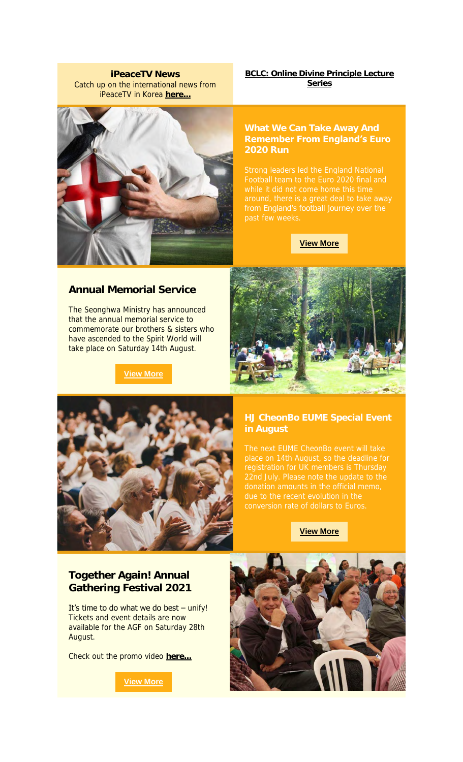**iPeaceTV News** Catch up on the international news from iPeaceTV in Korea **here...**

**BCLC: Online Divine Principle Lecture Series**

### **Remember From England's Euro 2020 Run**

from England's football journey over the

**View More**

#### **Annual Memorial Service**

The Seonghwa Ministry has announced that the annual memorial service to commemorate our brothers & sisters who have ascended to the Spirit World will take place on Saturday 14th August.

**View More**





# **in August**

due to the recent evolution in the

#### **View More**

#### **Together Again! Annual Gathering Festival 2021**

It's time to do what we do best  $-$  unify! Tickets and event details are now available for the AGF on Saturday 28th August.

Check out the promo video **here...**

**View More**

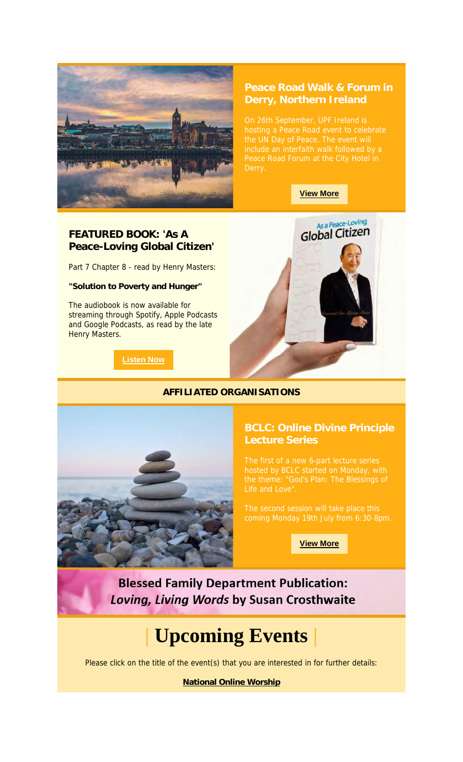

# **Peace Road Walk & Forum in**

#### **View More**

#### **FEATURED BOOK: 'As A Peace-Loving Global Citizen'**

Part 7 Chapter 8 - read by Henry Masters:

**"Solution to Poverty and Hunger"**

The audiobook is now available for streaming through Spotify, Apple Podcasts and Google Podcasts, as read by the late Henry Masters.

**Listen Now**



#### **AFFILIATED ORGANISATIONS**



**View More**

**Blessed Family Department Publication:** Loving, Living Words by Susan Crosthwaite

# **| Upcoming Events |**

Please click on the title of the event(s) that you are interested in for further details:

**National Online Worship**